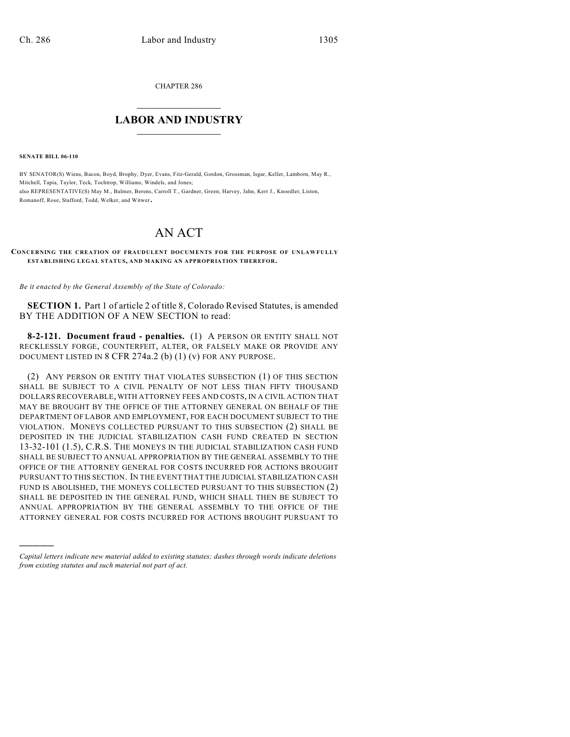CHAPTER 286

## $\mathcal{L}_\text{max}$  . The set of the set of the set of the set of the set of the set of the set of the set of the set of the set of the set of the set of the set of the set of the set of the set of the set of the set of the set **LABOR AND INDUSTRY**  $\frac{1}{\sqrt{2}}$  ,  $\frac{1}{\sqrt{2}}$  ,  $\frac{1}{\sqrt{2}}$  ,  $\frac{1}{\sqrt{2}}$  ,  $\frac{1}{\sqrt{2}}$  ,  $\frac{1}{\sqrt{2}}$

**SENATE BILL 06-110**

)))))

BY SENATOR(S) Wiens, Bacon, Boyd, Brophy, Dyer, Evans, Fitz-Gerald, Gordon, Grossman, Isgar, Keller, Lamborn, May R., Mitchell, Tapia, Taylor, Teck, Tochtrop, Williams, Windels, and Jones; also REPRESENTATIVE(S) May M., Balmer, Berens, Carroll T., Gardner, Green, Harvey, Jahn, Kerr J., Knoedler, Liston, Romanoff, Rose, Stafford, Todd, Welker, and Witwer.

## AN ACT

## **CONCERNING THE CREATION OF FRAUDULENT DOCUMENTS FOR THE PURPOSE OF UNLAWFULLY ESTABLISHING LEGAL STATUS, AND MAKING AN APPROPRIATION THEREFOR.**

*Be it enacted by the General Assembly of the State of Colorado:*

**SECTION 1.** Part 1 of article 2 of title 8, Colorado Revised Statutes, is amended BY THE ADDITION OF A NEW SECTION to read:

**8-2-121. Document fraud - penalties.** (1) A PERSON OR ENTITY SHALL NOT RECKLESSLY FORGE, COUNTERFEIT, ALTER, OR FALSELY MAKE OR PROVIDE ANY DOCUMENT LISTED IN 8 CFR 274a.2 (b) (1) (v) FOR ANY PURPOSE.

(2) ANY PERSON OR ENTITY THAT VIOLATES SUBSECTION (1) OF THIS SECTION SHALL BE SUBJECT TO A CIVIL PENALTY OF NOT LESS THAN FIFTY THOUSAND DOLLARS RECOVERABLE, WITH ATTORNEY FEES AND COSTS, IN A CIVIL ACTION THAT MAY BE BROUGHT BY THE OFFICE OF THE ATTORNEY GENERAL ON BEHALF OF THE DEPARTMENT OF LABOR AND EMPLOYMENT, FOR EACH DOCUMENT SUBJECT TO THE VIOLATION. MONEYS COLLECTED PURSUANT TO THIS SUBSECTION (2) SHALL BE DEPOSITED IN THE JUDICIAL STABILIZATION CASH FUND CREATED IN SECTION 13-32-101 (1.5), C.R.S. THE MONEYS IN THE JUDICIAL STABILIZATION CASH FUND SHALL BE SUBJECT TO ANNUAL APPROPRIATION BY THE GENERAL ASSEMBLY TO THE OFFICE OF THE ATTORNEY GENERAL FOR COSTS INCURRED FOR ACTIONS BROUGHT PURSUANT TO THIS SECTION. IN THE EVENT THAT THE JUDICIAL STABILIZATION CASH FUND IS ABOLISHED, THE MONEYS COLLECTED PURSUANT TO THIS SUBSECTION (2) SHALL BE DEPOSITED IN THE GENERAL FUND, WHICH SHALL THEN BE SUBJECT TO ANNUAL APPROPRIATION BY THE GENERAL ASSEMBLY TO THE OFFICE OF THE ATTORNEY GENERAL FOR COSTS INCURRED FOR ACTIONS BROUGHT PURSUANT TO

*Capital letters indicate new material added to existing statutes; dashes through words indicate deletions from existing statutes and such material not part of act.*